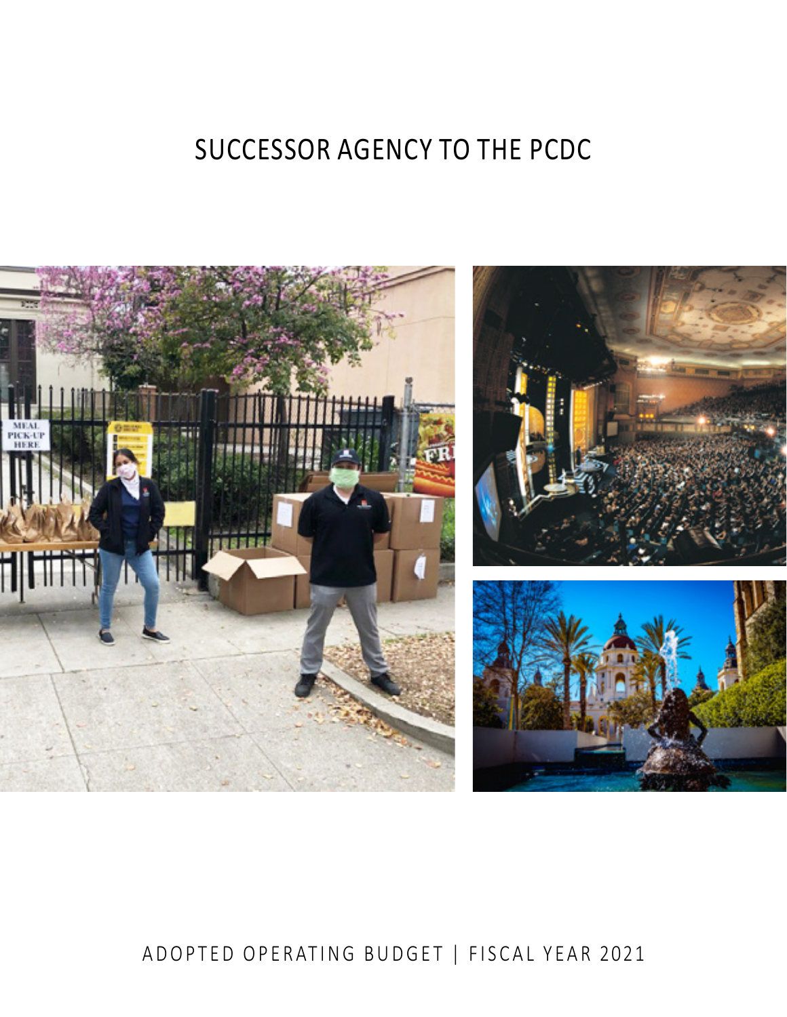# SUCCESSOR AGENCY TO THE PCDC



# ADOPTED OPERATING BUDGET | FISCAL YEAR 2021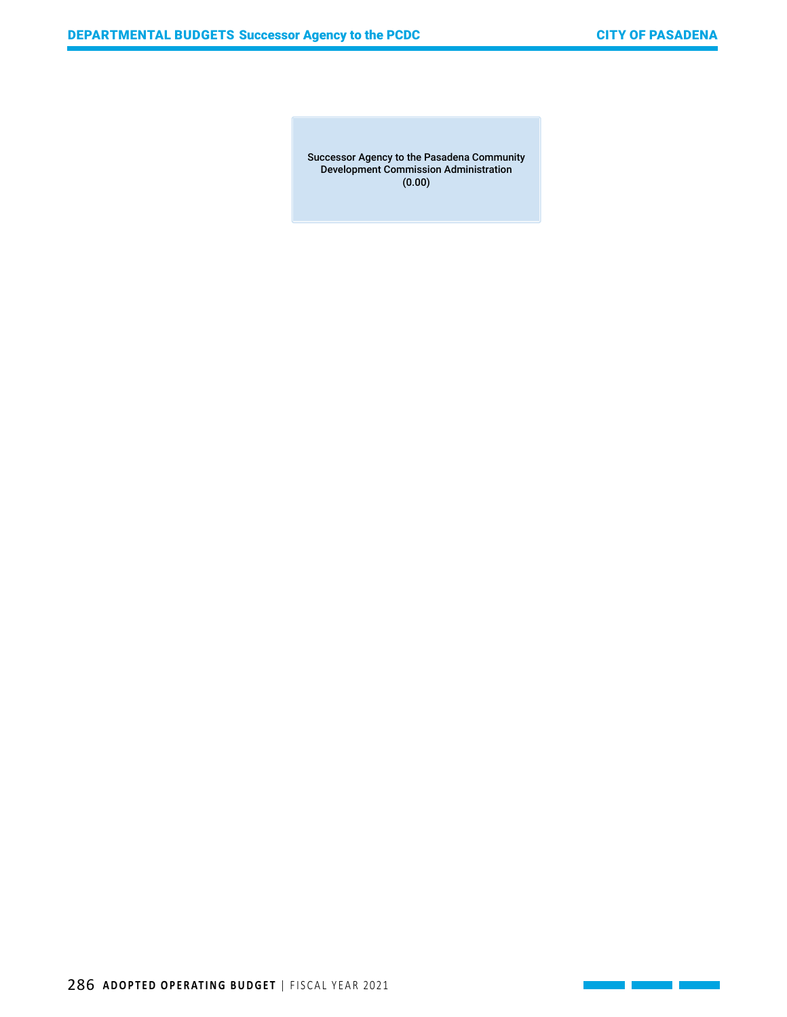<u> 1989 - Jan Sterlingen i Sterlingen i Sterlingen i Sterlingen i Sterlingen i Sterlingen i Sterlingen i Sterlin</u>

Successor Agency to the Pasadena Community Development Commission Administration (0.00)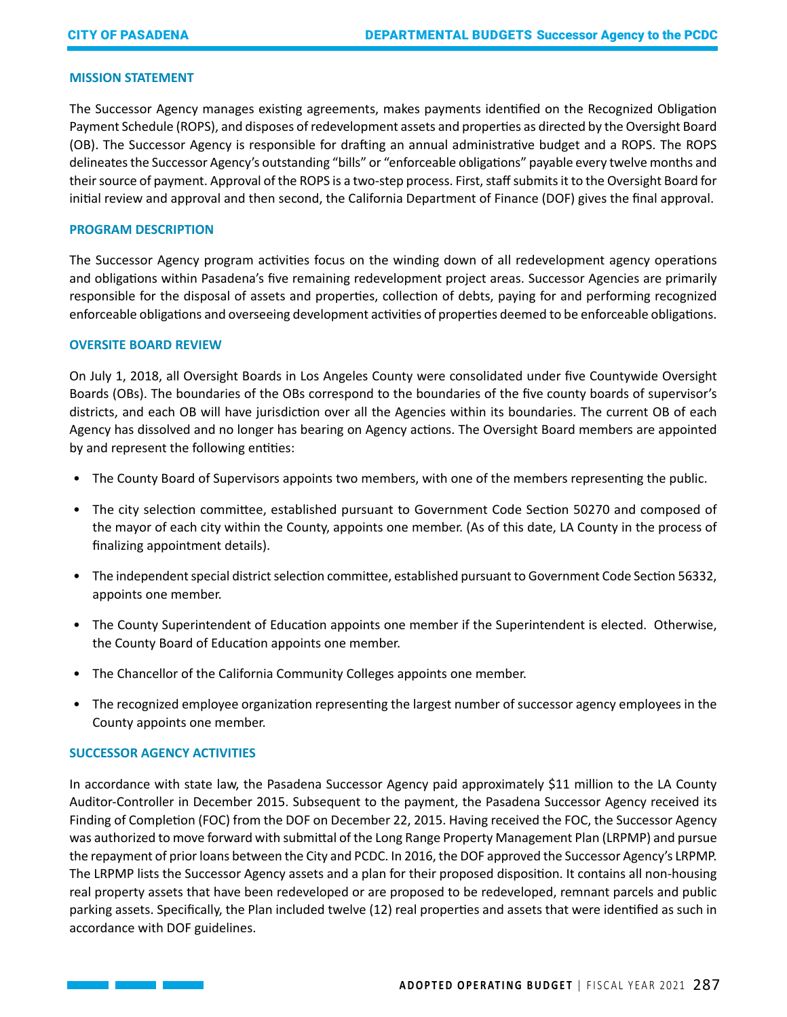#### **MISSION STATEMENT**

The Successor Agency manages existing agreements, makes payments identified on the Recognized Obligation Payment Schedule (ROPS), and disposes of redevelopment assets and properties as directed by the Oversight Board (OB). The Successor Agency is responsible for drafting an annual administrative budget and a ROPS. The ROPS delineates the Successor Agency's outstanding "bills" or "enforceable obligations" payable every twelve months and their source of payment. Approval of the ROPS is a two-step process. First, staff submits it to the Oversight Board for initial review and approval and then second, the California Department of Finance (DOF) gives the final approval.

#### **PROGRAM DESCRIPTION**

The Successor Agency program activities focus on the winding down of all redevelopment agency operations and obligations within Pasadena's five remaining redevelopment project areas. Successor Agencies are primarily responsible for the disposal of assets and properties, collection of debts, paying for and performing recognized enforceable obligations and overseeing development activities of properties deemed to be enforceable obligations.

#### **OVERSITE BOARD REVIEW**

On July 1, 2018, all Oversight Boards in Los Angeles County were consolidated under five Countywide Oversight Boards (OBs). The boundaries of the OBs correspond to the boundaries of the five county boards of supervisor's districts, and each OB will have jurisdiction over all the Agencies within its boundaries. The current OB of each Agency has dissolved and no longer has bearing on Agency actions. The Oversight Board members are appointed by and represent the following entities:

- The County Board of Supervisors appoints two members, with one of the members representing the public.
- The city selection committee, established pursuant to Government Code Section 50270 and composed of the mayor of each city within the County, appoints one member. (As of this date, LA County in the process of finalizing appointment details).
- The independent special district selection committee, established pursuant to Government Code Section 56332, appoints one member.
- The County Superintendent of Education appoints one member if the Superintendent is elected. Otherwise, the County Board of Education appoints one member.
- The Chancellor of the California Community Colleges appoints one member.
- The recognized employee organization representing the largest number of successor agency employees in the County appoints one member.

# **SUCCESSOR AGENCY ACTIVITIES**

In accordance with state law, the Pasadena Successor Agency paid approximately \$11 million to the LA County Auditor-Controller in December 2015. Subsequent to the payment, the Pasadena Successor Agency received its Finding of Completion (FOC) from the DOF on December 22, 2015. Having received the FOC, the Successor Agency was authorized to move forward with submittal of the Long Range Property Management Plan (LRPMP) and pursue the repayment of prior loans between the City and PCDC. In 2016, the DOF approved the Successor Agency's LRPMP. The LRPMP lists the Successor Agency assets and a plan for their proposed disposition. It contains all non-housing real property assets that have been redeveloped or are proposed to be redeveloped, remnant parcels and public parking assets. Specifically, the Plan included twelve (12) real properties and assets that were identified as such in accordance with DOF guidelines.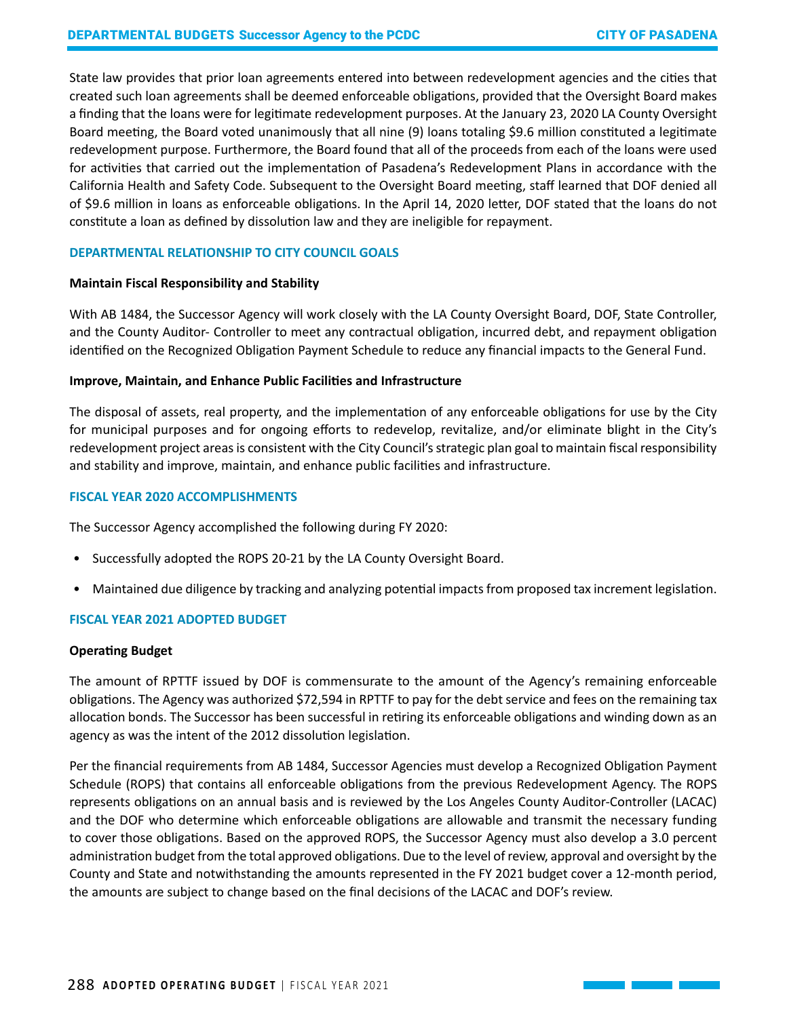State law provides that prior loan agreements entered into between redevelopment agencies and the cities that created such loan agreements shall be deemed enforceable obligations, provided that the Oversight Board makes a finding that the loans were for legitimate redevelopment purposes. At the January 23, 2020 LA County Oversight Board meeting, the Board voted unanimously that all nine (9) loans totaling \$9.6 million constituted a legitimate redevelopment purpose. Furthermore, the Board found that all of the proceeds from each of the loans were used for activities that carried out the implementation of Pasadena's Redevelopment Plans in accordance with the California Health and Safety Code. Subsequent to the Oversight Board meeting, staff learned that DOF denied all of \$9.6 million in loans as enforceable obligations. In the April 14, 2020 letter, DOF stated that the loans do not constitute a loan as defined by dissolution law and they are ineligible for repayment.

## **DEPARTMENTAL RELATIONSHIP TO CITY COUNCIL GOALS**

#### **Maintain Fiscal Responsibility and Stability**

With AB 1484, the Successor Agency will work closely with the LA County Oversight Board, DOF, State Controller, and the County Auditor- Controller to meet any contractual obligation, incurred debt, and repayment obligation identified on the Recognized Obligation Payment Schedule to reduce any financial impacts to the General Fund.

#### **Improve, Maintain, and Enhance Public Facilities and Infrastructure**

The disposal of assets, real property, and the implementation of any enforceable obligations for use by the City for municipal purposes and for ongoing efforts to redevelop, revitalize, and/or eliminate blight in the City's redevelopment project areas is consistent with the City Council's strategic plan goal to maintain fiscal responsibility and stability and improve, maintain, and enhance public facilities and infrastructure.

#### **FISCAL YEAR 2020 ACCOMPLISHMENTS**

The Successor Agency accomplished the following during FY 2020:

- Successfully adopted the ROPS 20-21 by the LA County Oversight Board.
- Maintained due diligence by tracking and analyzing potential impacts from proposed tax increment legislation.

# **FISCAL YEAR 2021 ADOPTED BUDGET**

#### **Operating Budget**

The amount of RPTTF issued by DOF is commensurate to the amount of the Agency's remaining enforceable obligations. The Agency was authorized \$72,594 in RPTTF to pay for the debt service and fees on the remaining tax allocation bonds. The Successor has been successful in retiring its enforceable obligations and winding down as an agency as was the intent of the 2012 dissolution legislation.

Per the financial requirements from AB 1484, Successor Agencies must develop a Recognized Obligation Payment Schedule (ROPS) that contains all enforceable obligations from the previous Redevelopment Agency. The ROPS represents obligations on an annual basis and is reviewed by the Los Angeles County Auditor-Controller (LACAC) and the DOF who determine which enforceable obligations are allowable and transmit the necessary funding to cover those obligations. Based on the approved ROPS, the Successor Agency must also develop a 3.0 percent administration budget from the total approved obligations. Due to the level of review, approval and oversight by the County and State and notwithstanding the amounts represented in the FY 2021 budget cover a 12-month period, the amounts are subject to change based on the final decisions of the LACAC and DOF's review.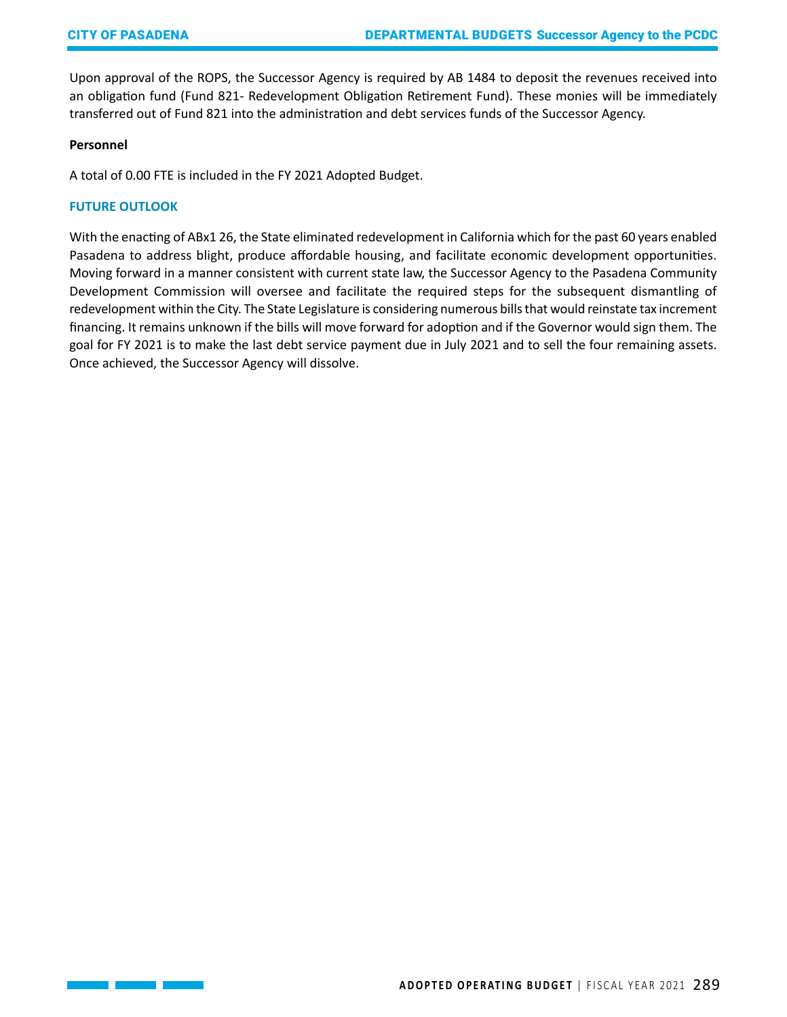Upon approval of the ROPS, the Successor Agency is required by AB 1484 to deposit the revenues received into an obligation fund (Fund 821- Redevelopment Obligation Retirement Fund). These monies will be immediately transferred out of Fund 821 into the administration and debt services funds of the Successor Agency.

# **Personnel**

A total of 0.00 FTE is included in the FY 2021 Adopted Budget.

#### **FUTURE OUTLOOK**

With the enacting of ABx1 26, the State eliminated redevelopment in California which for the past 60 years enabled Pasadena to address blight, produce affordable housing, and facilitate economic development opportunities. Moving forward in a manner consistent with current state law, the Successor Agency to the Pasadena Community Development Commission will oversee and facilitate the required steps for the subsequent dismantling of redevelopment within the City. The State Legislature is considering numerous bills that would reinstate tax increment financing. It remains unknown if the bills will move forward for adoption and if the Governor would sign them. The goal for FY 2021 is to make the last debt service payment due in July 2021 and to sell the four remaining assets. Once achieved, the Successor Agency will dissolve.